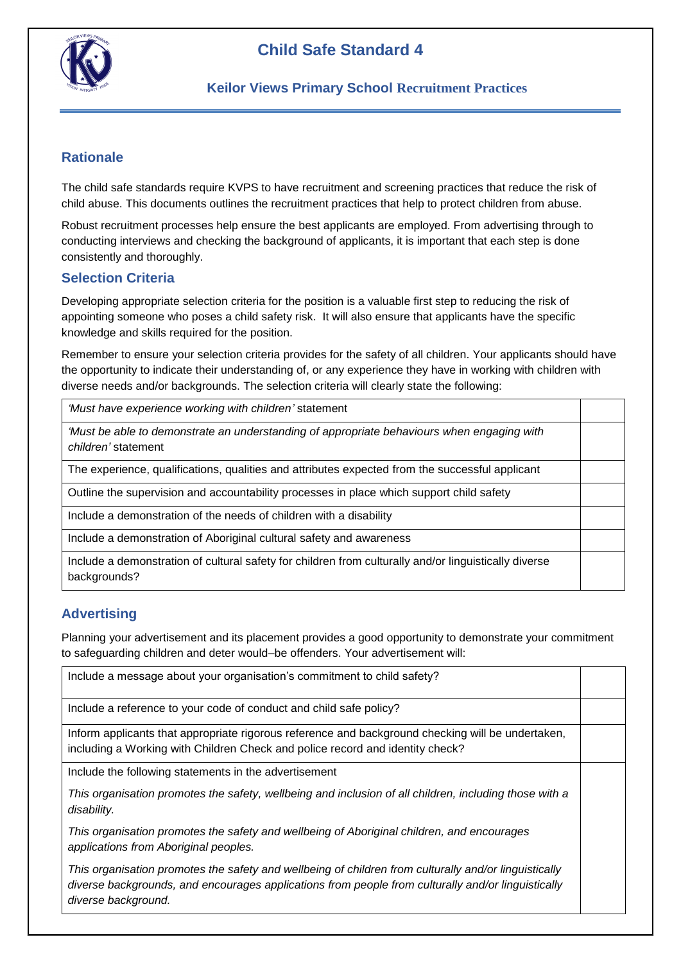

# **Child Safe Standard 4**

### **Keilor Views Primary School Recruitment Practices**

### **Rationale**

The child safe standards require KVPS to have recruitment and screening practices that reduce the risk of child abuse. This documents outlines the recruitment practices that help to protect children from abuse.

Robust recruitment processes help ensure the best applicants are employed. From advertising through to conducting interviews and checking the background of applicants, it is important that each step is done consistently and thoroughly.

#### **Selection Criteria**

Developing appropriate selection criteria for the position is a valuable first step to reducing the risk of appointing someone who poses a child safety risk. It will also ensure that applicants have the specific knowledge and skills required for the position.

Remember to ensure your selection criteria provides for the safety of all children. Your applicants should have the opportunity to indicate their understanding of, or any experience they have in working with children with diverse needs and/or backgrounds. The selection criteria will clearly state the following:

*'Must have experience working with children'* statement

*'Must be able to demonstrate an understanding of appropriate behaviours when engaging with children'* statement

The experience, qualifications, qualities and attributes expected from the successful applicant

Outline the supervision and accountability processes in place which support child safety

Include a demonstration of the needs of children with a disability

Include a demonstration of Aboriginal cultural safety and awareness

Include a demonstration of cultural safety for children from culturally and/or linguistically diverse backgrounds?

## **Advertising**

Planning your advertisement and its placement provides a good opportunity to demonstrate your commitment to safeguarding children and deter would–be offenders. Your advertisement will:

Include a message about your organisation's commitment to child safety?

Include a reference to your code of conduct and child safe policy?

Inform applicants that appropriate rigorous reference and background checking will be undertaken, including a Working with Children Check and police record and identity check?

Include the following statements in the advertisement

*This organisation promotes the safety, wellbeing and inclusion of all children, including those with a disability.* 

*This organisation promotes the safety and wellbeing of Aboriginal children, and encourages applications from Aboriginal peoples.*

*This organisation promotes the safety and wellbeing of children from culturally and/or linguistically diverse backgrounds, and encourages applications from people from culturally and/or linguistically diverse background.*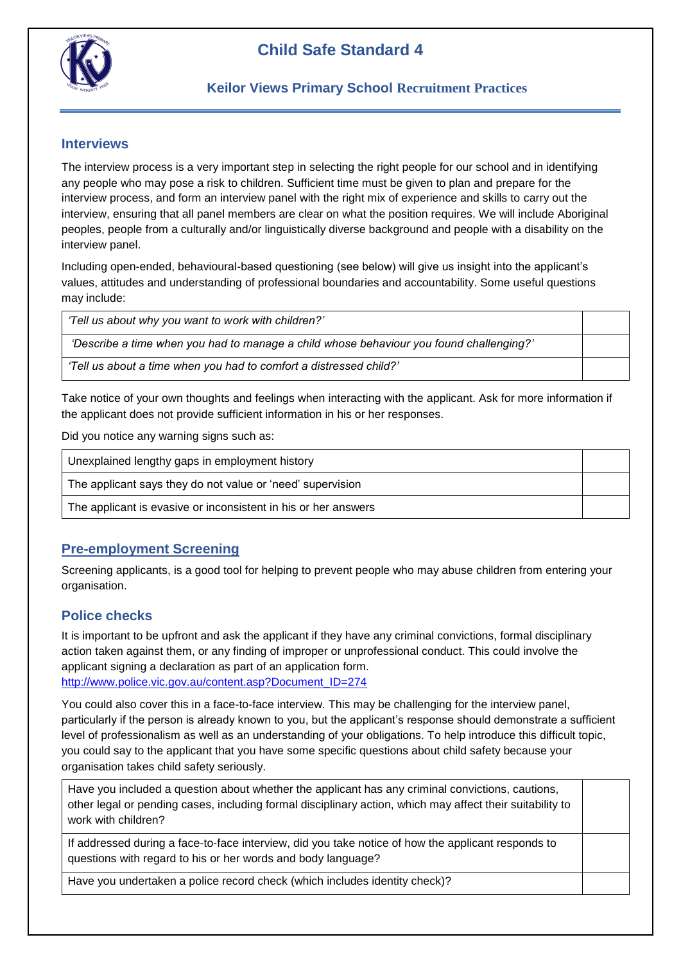

#### **Interviews**

The interview process is a very important step in selecting the right people for our school and in identifying any people who may pose a risk to children. Sufficient time must be given to plan and prepare for the interview process, and form an interview panel with the right mix of experience and skills to carry out the interview, ensuring that all panel members are clear on what the position requires. We will include Aboriginal peoples, people from a culturally and/or linguistically diverse background and people with a disability on the interview panel.

Including open-ended, behavioural-based questioning (see below) will give us insight into the applicant's values, attitudes and understanding of professional boundaries and accountability. Some useful questions may include:

| 'Tell us about why you want to work with children?'                                     |  |
|-----------------------------------------------------------------------------------------|--|
| 'Describe a time when you had to manage a child whose behaviour you found challenging?' |  |
| "Tell us about a time when you had to comfort a distressed child?"                      |  |

Take notice of your own thoughts and feelings when interacting with the applicant. Ask for more information if the applicant does not provide sufficient information in his or her responses.

Did you notice any warning signs such as:

| Unexplained lengthy gaps in employment history                 |  |
|----------------------------------------------------------------|--|
| The applicant says they do not value or 'need' supervision     |  |
| The applicant is evasive or inconsistent in his or her answers |  |

### **Pre-employment Screening**

Screening applicants, is a good tool for helping to prevent people who may abuse children from entering your organisation.

## **Police checks**

It is important to be upfront and ask the applicant if they have any criminal convictions, formal disciplinary action taken against them, or any finding of improper or unprofessional conduct. This could involve the applicant signing a declaration as part of an application form. [http://www.police.vic.gov.au/content.asp?Document\\_ID=274](http://www.police.vic.gov.au/content.asp?Document_ID=274)

You could also cover this in a face-to-face interview. This may be challenging for the interview panel, particularly if the person is already known to you, but the applicant's response should demonstrate a sufficient level of professionalism as well as an understanding of your obligations. To help introduce this difficult topic, you could say to the applicant that you have some specific questions about child safety because your organisation takes child safety seriously.

Have you included a question about whether the applicant has any criminal convictions, cautions, other legal or pending cases, including formal disciplinary action, which may affect their suitability to work with children?

If addressed during a face-to-face interview, did you take notice of how the applicant responds to questions with regard to his or her words and body language?

Have you undertaken a police record check (which includes identity check)?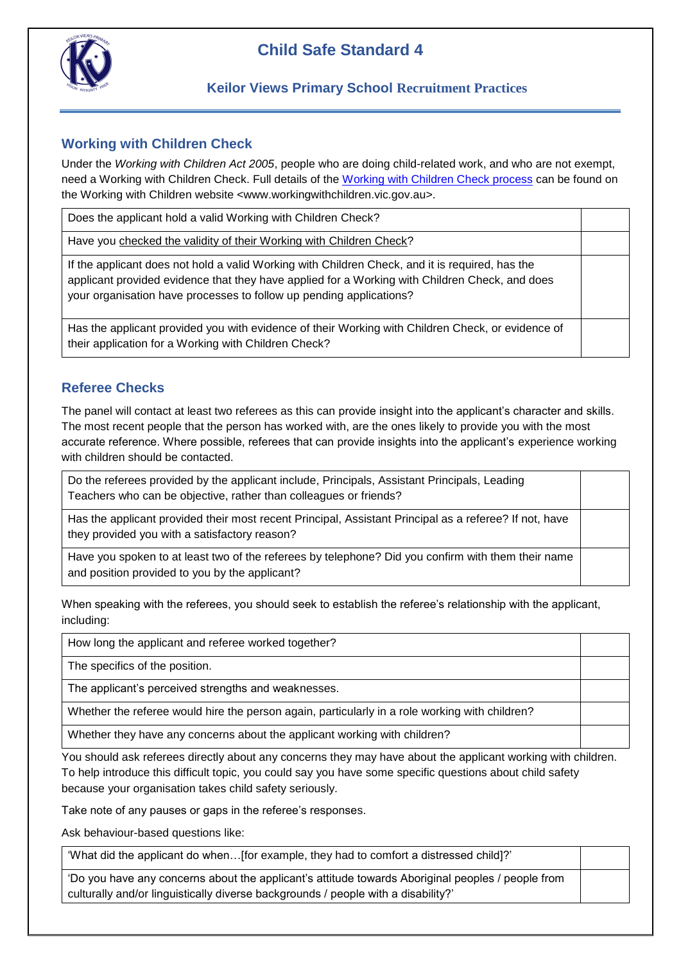

# **Child Safe Standard 4**

## **Working with Children Check**

Under the *Working with Children Act 2005*, people who are doing child-related work, and who are not exempt, need a Working with Children Check. Full details of the [Working with Children Check process](http://www.workingwithchildren.vic.gov.au/) can be found on the Working with Children website <www.workingwithchildren.vic.gov.au>.

Does the applicant hold a valid Working with Children Check? Have you [checked the validity of their Working with Children Check?](online.justice.vic.gov.au/wwccu/checkstatus.doj) If the applicant does not hold a valid Working with Children Check, and it is required, has the applicant provided evidence that they have applied for a Working with Children Check, and does your organisation have processes to follow up pending applications? Has the applicant provided you with evidence of their Working with Children Check, or evidence of their application for a Working with Children Check?

## **Referee Checks**

The panel will contact at least two referees as this can provide insight into the applicant's character and skills. The most recent people that the person has worked with, are the ones likely to provide you with the most accurate reference. Where possible, referees that can provide insights into the applicant's experience working with children should be contacted.

Do the referees provided by the applicant include, Principals, Assistant Principals, Leading Teachers who can be objective, rather than colleagues or friends?

Has the applicant provided their most recent Principal, Assistant Principal as a referee? If not, have they provided you with a satisfactory reason?

Have you spoken to at least two of the referees by telephone? Did you confirm with them their name and position provided to you by the applicant?

When speaking with the referees, you should seek to establish the referee's relationship with the applicant, including:

How long the applicant and referee worked together?

The specifics of the position.

The applicant's perceived strengths and weaknesses.

Whether the referee would hire the person again, particularly in a role working with children?

Whether they have any concerns about the applicant working with children?

You should ask referees directly about any concerns they may have about the applicant working with children. To help introduce this difficult topic, you could say you have some specific questions about child safety because your organisation takes child safety seriously.

Take note of any pauses or gaps in the referee's responses.

Ask behaviour-based questions like:

'What did the applicant do when…[for example, they had to comfort a distressed child]?'

'Do you have any concerns about the applicant's attitude towards Aboriginal peoples / people from culturally and/or linguistically diverse backgrounds / people with a disability?'